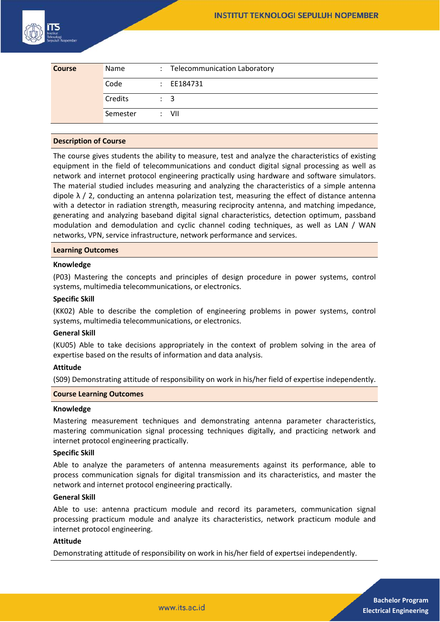

| <b>Course</b> | Name     | : Telecommunication Laboratory |
|---------------|----------|--------------------------------|
|               | Code     | $\therefore$ EE184731          |
|               | Credits  | $\therefore$ 3                 |
|               | Semester | : VII                          |

# **Description of Course**

The course gives students the ability to measure, test and analyze the characteristics of existing equipment in the field of telecommunications and conduct digital signal processing as well as network and internet protocol engineering practically using hardware and software simulators. The material studied includes measuring and analyzing the characteristics of a simple antenna dipole  $\lambda$  / 2, conducting an antenna polarization test, measuring the effect of distance antenna with a detector in radiation strength, measuring reciprocity antenna, and matching impedance, generating and analyzing baseband digital signal characteristics, detection optimum, passband modulation and demodulation and cyclic channel coding techniques, as well as LAN / WAN networks, VPN, service infrastructure, network performance and services.

#### **Learning Outcomes**

#### **Knowledge**

(P03) Mastering the concepts and principles of design procedure in power systems, control systems, multimedia telecommunications, or electronics.

#### **Specific Skill**

(KK02) Able to describe the completion of engineering problems in power systems, control systems, multimedia telecommunications, or electronics.

#### **General Skill**

(KU05) Able to take decisions appropriately in the context of problem solving in the area of expertise based on the results of information and data analysis.

## **Attitude**

(S09) Demonstrating attitude of responsibility on work in his/her field of expertise independently.

# **Course Learning Outcomes**

#### **Knowledge**

Mastering measurement techniques and demonstrating antenna parameter characteristics, mastering communication signal processing techniques digitally, and practicing network and internet protocol engineering practically.

# **Specific Skill**

Able to analyze the parameters of antenna measurements against its performance, able to process communication signals for digital transmission and its characteristics, and master the network and internet protocol engineering practically.

# **General Skill**

Able to use: antenna practicum module and record its parameters, communication signal processing practicum module and analyze its characteristics, network practicum module and internet protocol engineering.

### **Attitude**

Demonstrating attitude of responsibility on work in his/her field of expertsei independently.